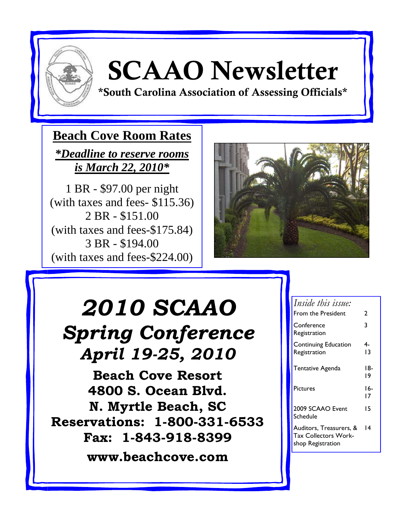

# SCAAO Newsletter

\*South Carolina Association of Assessing Officials\*

# **Beach Cove Room Rates**

*\*Deadline to reserve rooms is March 22, 2010\**

1 BR - \$97.00 per night (with taxes and fees- \$115.36) 2 BR - \$151.00 (with taxes and fees-\$175.84) 3 BR - \$194.00 (with taxes and fees-\$224.00)



# *Inside this issue: 2010 SCAAO*

*Spring Conference April 19-25, 2010* 

**Beach Cove Resort 4800 S. Ocean Blvd. N. Myrtle Beach, SC Reservations: 1-800-331-6533 Fax: 1-843-918-8399** 

**www.beachcove.com** 

| Inside this issue:<br>From the President                                    | 2         |
|-----------------------------------------------------------------------------|-----------|
| Conference<br>Registration                                                  | 3         |
| Continuing Education<br>Registration                                        | 4-<br>13  |
| Tentative Agenda                                                            | 18-<br>19 |
| <b>Pictures</b>                                                             | 16-<br>17 |
| 2009 SCAAO Event<br>Schedule                                                | 15        |
| Auditors, Treasurers, &<br><b>Tax Collectors Work-</b><br>shop Registration | 14        |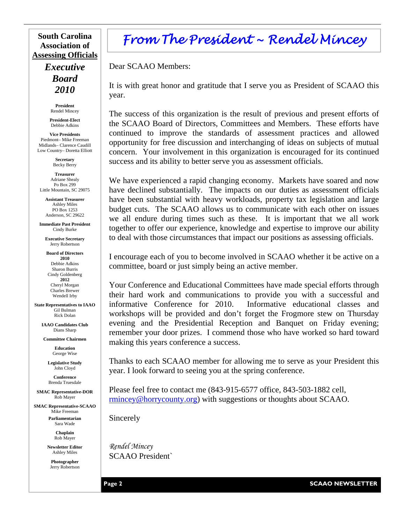#### **South Carolina Association of Assessing Officials**

*Executive Board 2010*

> **President**  Rendel Mincey

**President-Elect**  Debbie Adkins

**Vice Presidents**  Piedmont– Mike Freeman Midlands– Clarence Caudill Low Country– Doretta Elliott

> **Secretary**  Becky Berry

**Treasurer**  Adriane Shealy Po Box 299 Little Mountain, SC 29075

> **Assistant Treasurer**  Ashley Miles PO Box 1253 Anderson, SC 29622

**Immediate Past President**  Cindy Burke

> **Executive Secretary**  Jerry Robertson

**Board of Directors 2010**  Debbie Adkins Sharon Burris Cindy Goldenberg **2012**  Cheryl Morgan Charles Brewer Wendell Irby

**State Representatives to IAAO**  Gil Bulman Rick Dolan

> **IAAO Candidates Club**  Dians Sharp

**Committee Chairmen** 

**Education**  George Wise

**Legislative Study**  John Cloyd

**Conference**  Brenda Truesdale

**SMAC Representative-DOR**  Rob Mayer

**SMAC Representative-SCAAO**  Mike Freeman **Parliamentarian** 

Sara Wade

**Chaplain**  Rob Mayer

**Newsletter Editor**  Ashley Miles

**Photographer**  Jerry Robertson

# *From The President ~ Rendel Mincey*

Dear SCAAO Members:

It is with great honor and gratitude that I serve you as President of SCAAO this year.

The success of this organization is the result of previous and present efforts of the SCAAO Board of Directors, Committees and Members. These efforts have continued to improve the standards of assessment practices and allowed opportunity for free discussion and interchanging of ideas on subjects of mutual concern. Your involvement in this organization is encouraged for its continued success and its ability to better serve you as assessment officials.

We have experienced a rapid changing economy. Markets have soared and now have declined substantially. The impacts on our duties as assessment officials have been substantial with heavy workloads, property tax legislation and large budget cuts. The SCAAO allows us to communicate with each other on issues we all endure during times such as these. It is important that we all work together to offer our experience, knowledge and expertise to improve our ability to deal with those circumstances that impact our positions as assessing officials.

I encourage each of you to become involved in SCAAO whether it be active on a committee, board or just simply being an active member.

Your Conference and Educational Committees have made special efforts through their hard work and communications to provide you with a successful and informative Conference for 2010. Informative educational classes and workshops will be provided and don't forget the Frogmore stew on Thursday evening and the Presidential Reception and Banquet on Friday evening; remember your door prizes. I commend those who have worked so hard toward making this years conference a success.

Thanks to each SCAAO member for allowing me to serve as your President this year. I look forward to seeing you at the spring conference.

Please feel free to contact me (843-915-6577 office, 843-503-1882 cell, rmincey@horrycounty.org) with suggestions or thoughts about SCAAO.

Sincerely

*Rendel Mincey*  SCAAO President`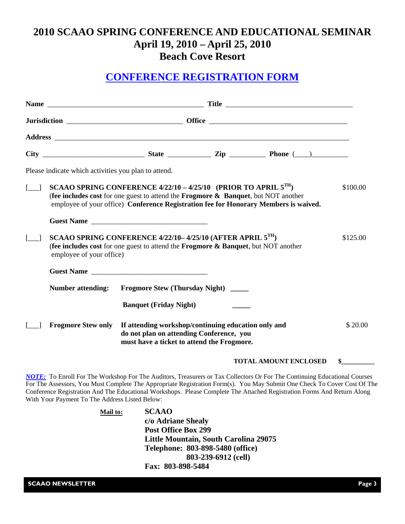## **2010 SCAAO SPRING CONFERENCE AND EDUCATIONAL SEMINAR April 19, 2010 – April 25, 2010 Beach Cove Resort**

## **CONFERENCE REGISTRATION FORM**

|       | Please indicate which activities you plan to attend. |                                                                                                                                                                            |                                                                                                  |                                                                                                                                                                                                                                                                                                                                                                                         |          |
|-------|------------------------------------------------------|----------------------------------------------------------------------------------------------------------------------------------------------------------------------------|--------------------------------------------------------------------------------------------------|-----------------------------------------------------------------------------------------------------------------------------------------------------------------------------------------------------------------------------------------------------------------------------------------------------------------------------------------------------------------------------------------|----------|
| $[\_$ |                                                      | SCAAO SPRING CONFERENCE $4/22/10 - 4/25/10$ (PRIOR TO APRIL $5^{TH}$ )<br>(fee includes cost for one guest to attend the Frogmore & Banquet, but NOT another<br>Guest Name |                                                                                                  | employee of your office) Conference Registration fee for Honorary Members is waived.                                                                                                                                                                                                                                                                                                    | \$100.00 |
|       | employee of your office)                             | SCAAO SPRING CONFERENCE 4/22/10-4/25/10 (AFTER APRIL 5TH)<br>(fee includes cost for one guest to attend the Frogmore & Banquet, but NOT another                            |                                                                                                  |                                                                                                                                                                                                                                                                                                                                                                                         | \$125.00 |
|       |                                                      |                                                                                                                                                                            |                                                                                                  |                                                                                                                                                                                                                                                                                                                                                                                         |          |
|       | <b>Number attending:</b>                             | <b>Frogmore Stew (Thursday Night)</b>                                                                                                                                      |                                                                                                  |                                                                                                                                                                                                                                                                                                                                                                                         |          |
|       |                                                      | <b>Banquet (Friday Night)</b>                                                                                                                                              |                                                                                                  |                                                                                                                                                                                                                                                                                                                                                                                         |          |
|       | <b>Frogmore Stew only</b>                            | If attending workshop/continuing education only and<br>do not plan on attending Conference, you<br>must have a ticket to attend the Frogmore.                              |                                                                                                  |                                                                                                                                                                                                                                                                                                                                                                                         | \$20.00  |
|       |                                                      |                                                                                                                                                                            |                                                                                                  | <b>TOTAL AMOUNT ENCLOSED</b>                                                                                                                                                                                                                                                                                                                                                            | $\sim$   |
|       | With Your Payment To The Address Listed Below:       |                                                                                                                                                                            |                                                                                                  | <b>NOTE:</b> To Enroll For The Workshop For The Auditors, Treasurers or Tax Collectors Or For The Continuing Educational Courses<br>For The Assessors, You Must Complete The Appropriate Registration Form(s). You May Submit One Check To Cover Cost Of The<br>Conference Registration And The Educational Workshops. Please Complete The Attached Registration Forms And Return Along |          |
|       | Mail to:                                             | <b>SCAAO</b><br>c/o Adriane Shealy<br><b>Post Office Box 299</b><br>Fax: 803-898-5484                                                                                      | Little Mountain, South Carolina 29075<br>Telephone: 803-898-5480 (office)<br>803-239-6912 (cell) |                                                                                                                                                                                                                                                                                                                                                                                         |          |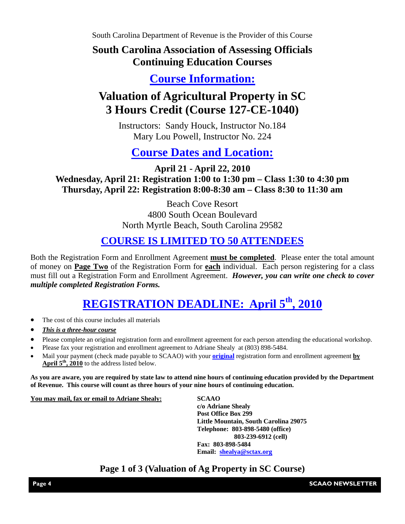## **South Carolina Association of Assessing Officials Continuing Education Courses**

# **Course Information:**

# **Valuation of Agricultural Property in SC 3 Hours Credit (Course 127-CE-1040)**

Instructors: Sandy Houck, Instructor No.184 Mary Lou Powell, Instructor No. 224

# **Course Dates and Location:**

**April 21 - April 22, 2010 Wednesday, April 21: Registration 1:00 to 1:30 pm – Class 1:30 to 4:30 pm Thursday, April 22: Registration 8:00-8:30 am – Class 8:30 to 11:30 am**

> Beach Cove Resort 4800 South Ocean Boulevard North Myrtle Beach, South Carolina 29582

## **COURSE IS LIMITED TO 50 ATTENDEES**

Both the Registration Form and Enrollment Agreement **must be completed**. Please enter the total amount of money on **Page Two** of the Registration Form for **each** individual. Each person registering for a class must fill out a Registration Form and Enrollment Agreement. *However, you can write one check to cover multiple completed Registration Forms.* 

# **REGISTRATION DEADLINE: April 5th, 2010**

- The cost of this course includes all materials
- *This is a three-hour course*
- Please complete an original registration form and enrollment agreement for each person attending the educational workshop.
- Please fax your registration and enrollment agreement to Adriane Shealy at (803) 898-5484.
- Mail your payment (check made payable to SCAAO) with your **original** registration form and enrollment agreement **by April 5th, 2010** to the address listed below.

**As you are aware, you are required by state law to attend nine hours of continuing education provided by the Department of Revenue. This course will count as three hours of your nine hours of continuing education.**

**You may mail, fax or email to Adriane Shealy: SCAAO** 

 **c/o Adriane Shealy Post Office Box 299 Little Mountain, South Carolina 29075 Telephone: 803-898-5480 (office) 803-239-6912 (cell) Fax: 803-898-5484 Email: shealya@sctax.org**

## **Page 1 of 3 (Valuation of Ag Property in SC Course)**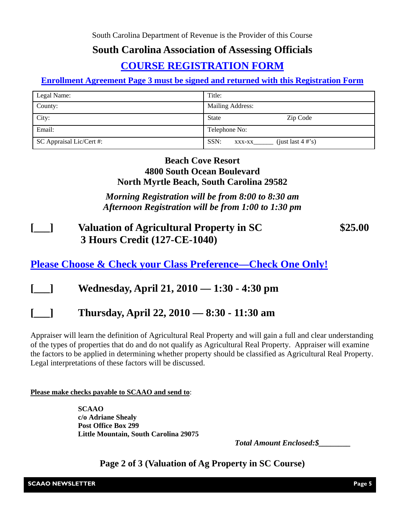## **South Carolina Association of Assessing Officials**

## **COURSE REGISTRATION FORM**

#### **Enrollment Agreement Page 3 must be signed and returned with this Registration Form**

| Legal Name:              | Title:                              |
|--------------------------|-------------------------------------|
| County:                  | <b>Mailing Address:</b>             |
| City:                    | <b>State</b><br>Zip Code            |
| Email:                   | Telephone No:                       |
| SC Appraisal Lic/Cert #: | SSN:<br>(iust last 4 #'s)<br>XXX-XX |

#### **Beach Cove Resort 4800 South Ocean Boulevard North Myrtle Beach, South Carolina 29582**

*Morning Registration will be from 8:00 to 8:30 am Afternoon Registration will be from 1:00 to 1:30 pm* 

#### **[\_\_\_] Valuation of Agricultural Property in SC \$25.00 3 Hours Credit (127-CE-1040)**

## **Please Choose & Check your Class Preference—Check One Only!**

#### **[\_\_\_] Wednesday, April 21, 2010 — 1:30 - 4:30 pm**

#### **[\_\_\_] Thursday, April 22, 2010 — 8:30 - 11:30 am**

Appraiser will learn the definition of Agricultural Real Property and will gain a full and clear understanding of the types of properties that do and do not qualify as Agricultural Real Property. Appraiser will examine the factors to be applied in determining whether property should be classified as Agricultural Real Property. Legal interpretations of these factors will be discussed.

#### **Please make checks payable to SCAAO and send to**:

 **SCAAO c/o Adriane Shealy Post Office Box 299 Little Mountain, South Carolina 29075** 

*Total Amount Enclosed:\$\_\_\_\_\_\_\_\_*

#### **Page 2 of 3 (Valuation of Ag Property in SC Course)**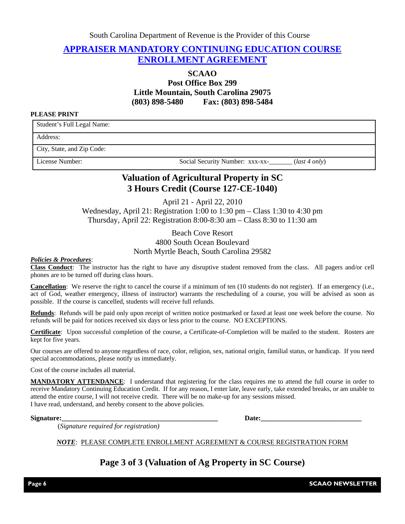#### **APPRAISER MANDATORY CONTINUING EDUCATION COURSE ENROLLMENT AGREEMENT**

#### **SCAAO Post Office Box 299 Little Mountain, South Carolina 29075 (803) 898-5480 Fax: (803) 898-5484**

#### **PLEASE PRINT**

Student's Full Legal Name:

Address:

City, State, and Zip Code:

License Number:  $Social Security Number: XXX-xX-$  (*last 4 only*)

#### **Valuation of Agricultural Property in SC 3 Hours Credit (Course 127-CE-1040)**

April 21 - April 22, 2010

Wednesday, April 21: Registration 1:00 to 1:30 pm – Class 1:30 to 4:30 pm Thursday, April 22: Registration 8:00-8:30 am – Class 8:30 to 11:30 am

> Beach Cove Resort 4800 South Ocean Boulevard North Myrtle Beach, South Carolina 29582

#### *Policies & Procedures*:

**Class Conduct**: The instructor has the right to have any disruptive student removed from the class. All pagers and/or cell phones are to be turned off during class hours.

**Cancellation**: We reserve the right to cancel the course if a minimum of ten (10 students do not register). If an emergency (i.e., act of God, weather emergency, illness of instructor) warrants the rescheduling of a course, you will be advised as soon as possible. If the course is cancelled, students will receive full refunds.

**Refunds**: Refunds will be paid only upon receipt of written notice postmarked or faxed at least one week before the course. No refunds will be paid for notices received six days or less prior to the course. NO EXCEPTIONS.

**Certificate**: Upon successful completion of the course, a Certificate-of-Completion will be mailed to the student. Rosters are kept for five years.

Our courses are offered to anyone regardless of race, color, religion, sex, national origin, familial status, or handicap. If you need special accommodations, please notify us immediately.

Cost of the course includes all material.

**MANDATORY ATTENDANCE**: I understand that registering for the class requires me to attend the full course in order to receive Mandatory Continuing Education Credit. If for any reason, I enter late, leave early, take extended breaks, or am unable to attend the entire course, I will not receive credit. There will be no make-up for any sessions missed. I have read, understand, and hereby consent to the above policies.

**Signature:\_\_\_\_\_\_\_\_\_\_\_\_\_\_\_\_\_\_\_\_\_\_\_\_\_\_\_\_\_\_\_\_\_\_\_\_\_\_\_\_\_\_\_\_\_ Date:\_\_\_\_\_\_\_\_\_\_\_\_\_\_\_\_\_\_\_\_\_\_\_\_\_\_\_\_\_** 

(*Signature required for registration)* 

*NOTE*: PLEASE COMPLETE ENROLLMENT AGREEMENT & COURSE REGISTRATION FORM

#### **Page 3 of 3 (Valuation of Ag Property in SC Course)**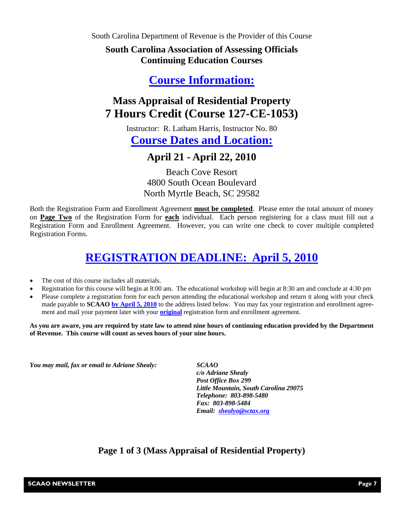**South Carolina Association of Assessing Officials Continuing Education Courses** 

# **Course Information:**

# **Mass Appraisal of Residential Property 7 Hours Credit (Course 127-CE-1053)**

Instructor: R. Latham Harris, Instructor No. 80

#### **Course Dates and Location:**

## **April 21 - April 22, 2010**

Beach Cove Resort 4800 South Ocean Boulevard North Myrtle Beach, SC 29582

Both the Registration Form and Enrollment Agreement **must be completed**. Please enter the total amount of money on **Page Two** of the Registration Form for **each** individual. Each person registering for a class must fill out a Registration Form and Enrollment Agreement. However, you can write one check to cover multiple completed Registration Forms.

# **REGISTRATION DEADLINE: April 5, 2010**

- The cost of this course includes all materials.
- Registration for this course will begin at 8:00 am. The educational workshop will begin at 8:30 am and conclude at 4:30 pm
- Please complete a registration form for each person attending the educational workshop and return it along with your check made payable to **SCAAO by April 5, 2010** to the address listed below. You may fax your registration and enrollment agreement and mail your payment later with your **original** registration form and enrollment agreement.

**As you are aware, you are required by state law to attend nine hours of continuing education provided by the Department of Revenue. This course will count as seven hours of your nine hours.** 

*You may mail, fax or email to Adriane Shealy: SCAAO* 

 *c/o Adriane Shealy Post Office Box 299 Little Mountain, South Carolina 29075 Telephone: 803-898-5480 Fax: 803-898-5484 Email: shealya@sctax.org*

## **Page 1 of 3 (Mass Appraisal of Residential Property)**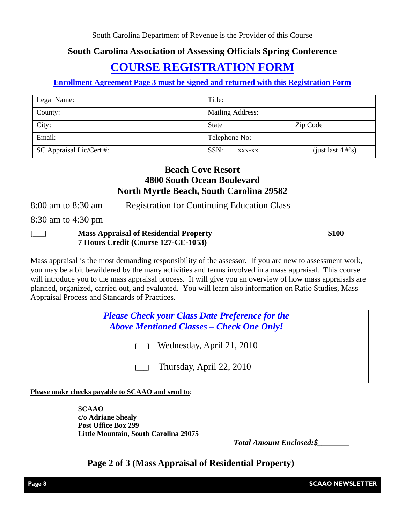#### **South Carolina Association of Assessing Officials Spring Conference**

# **COURSE REGISTRATION FORM**

#### **Enrollment Agreement Page 3 must be signed and returned with this Registration Form**

| Legal Name:              | Title:                                  |
|--------------------------|-----------------------------------------|
| County:                  | Mailing Address:                        |
| City:                    | <b>State</b><br>Zip Code                |
| Email:                   | Telephone No:                           |
| SC Appraisal Lic/Cert #: | SSN:<br>(just last $4 \# s$ )<br>XXX-XX |

#### **Beach Cove Resort 4800 South Ocean Boulevard North Myrtle Beach, South Carolina 29582**

8:00 am to 8:30 am Registration for Continuing Education Class Ì

8:30 am to 4:30 pm

#### [\_\_\_] **Mass Appraisal of Residential Property \$100 7 Hours Credit (Course 127-CE-1053)**

Mass appraisal is the most demanding responsibility of the assessor. If you are new to assessment work, you may be a bit bewildered by the many activities and terms involved in a mass appraisal. This course will introduce you to the mass appraisal process. It will give you an overview of how mass appraisals are planned, organized, carried out, and evaluated. You will learn also information on Ratio Studies, Mass Appraisal Process and Standards of Practices.

> *Please Check your Class Date Preference for the Above Mentioned Classes – Check One Only!*

> > **[\_\_\_]** Wednesday, April 21, 2010

 **[\_\_\_]** Thursday, April 22, 2010

**Please make checks payable to SCAAO and send to**:

 **SCAAO c/o Adriane Shealy Post Office Box 299 Little Mountain, South Carolina 29075** 

*Total Amount Enclosed:\$\_\_\_\_\_\_\_\_*

## **Page 2 of 3 (Mass Appraisal of Residential Property)**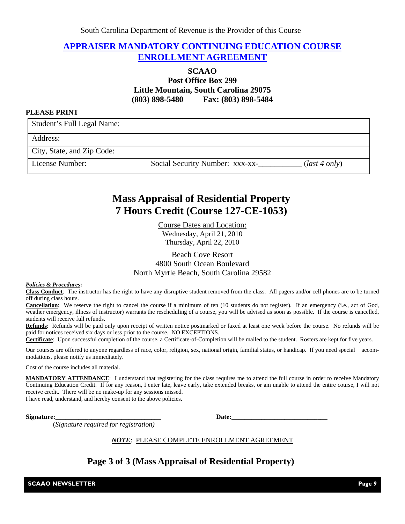#### **APPRAISER MANDATORY CONTINUING EDUCATION COURSE ENROLLMENT AGREEMENT**

**SCAAO Post Office Box 299 Little Mountain, South Carolina 29075 (803) 898-5480 Fax: (803) 898-5484** 

#### **PLEASE PRINT**

Student's Full Legal Name:

Address:

City, State, and Zip Code:

License Number: Social Security Number: xxx-xx-\_\_\_\_\_\_\_\_\_\_\_ (*last 4 only*)

## **Mass Appraisal of Residential Property 7 Hours Credit (Course 127-CE-1053)**

Course Dates and Location: Wednesday, April 21, 2010 Thursday, April 22, 2010

Beach Cove Resort 4800 South Ocean Boulevard North Myrtle Beach, South Carolina 29582

#### *Policies & Procedures***:**

**Class Conduct**: The instructor has the right to have any disruptive student removed from the class. All pagers and/or cell phones are to be turned off during class hours.

**Cancellation**: We reserve the right to cancel the course if a minimum of ten (10 students do not register). If an emergency (i.e., act of God, weather emergency, illness of instructor) warrants the rescheduling of a course, you will be advised as soon as possible. If the course is cancelled, students will receive full refunds.

**Refunds**: Refunds will be paid only upon receipt of written notice postmarked or faxed at least one week before the course. No refunds will be paid for notices received six days or less prior to the course. NO EXCEPTIONS.

**Certificate**: Upon successful completion of the course, a Certificate-of-Completion will be mailed to the student. Rosters are kept for five years.

Our courses are offered to anyone regardless of race, color, religion, sex, national origin, familial status, or handicap. If you need special accommodations, please notify us immediately.

Cost of the course includes all material.

**MANDATORY ATTENDANCE**: I understand that registering for the class requires me to attend the full course in order to receive Mandatory Continuing Education Credit. If for any reason, I enter late, leave early, take extended breaks, or am unable to attend the entire course, I will not receive credit. There will be no make-up for any sessions missed. I have read, understand, and hereby consent to the above policies.

**Signature:\_\_\_\_\_\_\_\_\_\_\_\_\_\_\_\_\_\_\_\_\_\_\_\_\_\_\_\_\_\_\_\_ Date:\_\_\_\_\_\_\_\_\_\_\_\_\_\_\_\_\_\_\_\_\_\_\_\_\_\_\_\_\_** 

(*Signature required for registration)* 

#### *NOTE*: PLEASE COMPLETE ENROLLMENT AGREEMENT

#### **Page 3 of 3 (Mass Appraisal of Residential Property)**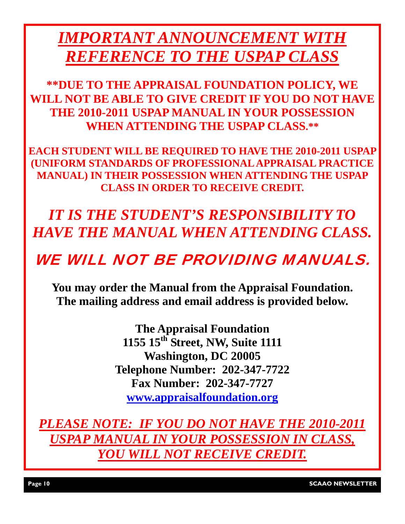# *IMPORTANT ANNOUNCEMENT WITH REFERENCE TO THE USPAP CLASS*

**\*\*DUE TO THE APPRAISAL FOUNDATION POLICY, WE WILL NOT BE ABLE TO GIVE CREDIT IF YOU DO NOT HAVE THE 2010-2011 USPAP MANUAL IN YOUR POSSESSION WHEN ATTENDING THE USPAP CLASS.\*\*** 

**EACH STUDENT WILL BE REQUIRED TO HAVE THE 2010-2011 USPAP (UNIFORM STANDARDS OF PROFESSIONAL APPRAISAL PRACTICE MANUAL) IN THEIR POSSESSION WHEN ATTENDING THE USPAP CLASS IN ORDER TO RECEIVE CREDIT.** 

*IT IS THE STUDENT'S RESPONSIBILITY TO HAVE THE MANUAL WHEN ATTENDING CLASS.* 

# WE WILL NOT BE PROVIDING MANUALS.

**You may order the Manual from the Appraisal Foundation. The mailing address and email address is provided below.** 

> **The Appraisal Foundation 1155 15th Street, NW, Suite 1111 Washington, DC 20005 Telephone Number: 202-347-7722 Fax Number: 202-347-7727 www.appraisalfoundation.org**

*PLEASE NOTE: IF YOU DO NOT HAVE THE 2010-2011 USPAP MANUAL IN YOUR POSSESSION IN CLASS, YOU WILL NOT RECEIVE CREDIT.*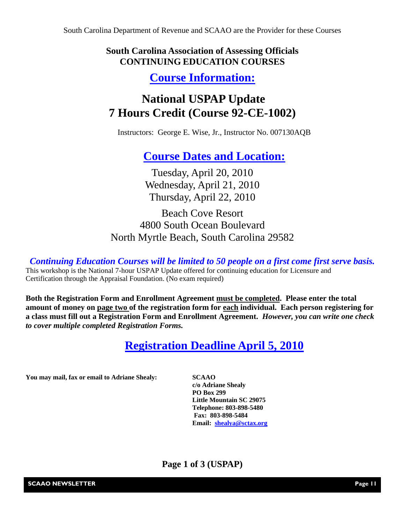South Carolina Department of Revenue and SCAAO are the Provider for these Courses

**South Carolina Association of Assessing Officials CONTINUING EDUCATION COURSES** 

**Course Information:**

# **National USPAP Update 7 Hours Credit (Course 92-CE-1002)**

Instructors: George E. Wise, Jr., Instructor No. 007130AQB

## **Course Dates and Location:**

Tuesday, April 20, 2010 Wednesday, April 21, 2010 Thursday, April 22, 2010

Beach Cove Resort 4800 South Ocean Boulevard North Myrtle Beach, South Carolina 29582

*Continuing Education Courses will be limited to 50 people on a first come first serve basis.*  This workshop is the National 7-hour USPAP Update offered for continuing education for Licensure and Certification through the Appraisal Foundation. (No exam required)

**Both the Registration Form and Enrollment Agreement must be completed. Please enter the total amount of money on page two of the registration form for each individual. Each person registering for a class must fill out a Registration Form and Enrollment Agreement.** *However, you can write one check to cover multiple completed Registration Forms.*

# **Registration Deadline April 5, 2010**

**You may mail, fax or email to Adriane Shealy: SCAAO** 

 **c/o Adriane Shealy PO Box 299 Little Mountain SC 29075 Telephone: 803-898-5480 Fax: 803-898-5484 Email: shealya@sctax.org**

#### **Page 1 of 3 (USPAP)**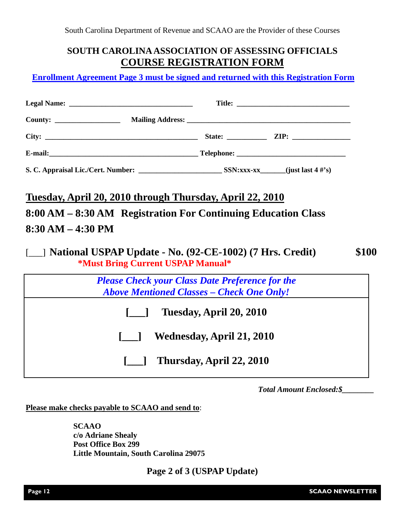#### **SOUTH CAROLINA ASSOCIATION OF ASSESSING OFFICIALS COURSE REGISTRATION FORM**

 **Enrollment Agreement Page 3 must be signed and returned with this Registration Form**

| Tuesday, April 20, 2010 through Thursday, April 22, 2010<br>8:00 AM – 8:30 AM Registration For Continuing Education Class |  |
|---------------------------------------------------------------------------------------------------------------------------|--|
| --------------                                                                                                            |  |

# **8:30 AM – 4:30 PM**

[\_\_\_] **National USPAP Update - No. (92-CE-1002) (7 Hrs. Credit) \$100 \*Must Bring Current USPAP Manual\***

| <b>Please Check your Class Date Preference for the</b><br><b>Above Mentioned Classes - Check One Only!</b> |  |
|------------------------------------------------------------------------------------------------------------|--|
| Tuesday, April 20, 2010                                                                                    |  |
| Wednesday, April 21, 2010                                                                                  |  |
| Thursday, April 22, 2010                                                                                   |  |

*Total Amount Enclosed:\$\_\_\_\_\_\_\_\_*

**Please make checks payable to SCAAO and send to**:

 **SCAAO c/o Adriane Shealy Post Office Box 299 Little Mountain, South Carolina 29075**

**Page 2 of 3 (USPAP Update)**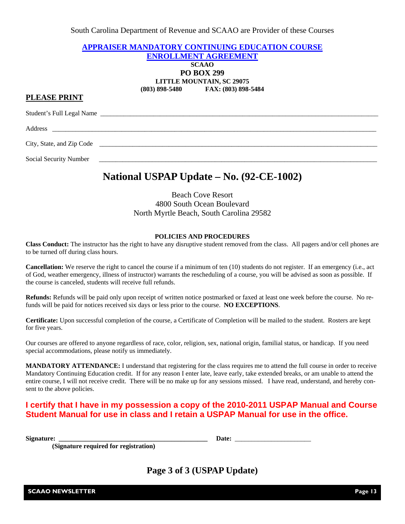South Carolina Department of Revenue and SCAAO are Provider of these Courses

#### **APPRAISER MANDATORY CONTINUING EDUCATION COURSE ENROLLMENT AGREEMENT SCAAO**

**PO BOX 299 LITTLE MOUNTAIN, SC 29075 (803) 898-5480 FAX: (803) 898-5484** 

#### **PLEASE PRINT**

Student's Full Legal Name

Address \_\_\_\_\_\_\_\_\_\_\_\_\_\_\_\_\_\_\_\_\_\_\_\_\_\_\_\_\_\_\_\_\_\_\_\_\_\_\_\_\_\_\_\_\_\_\_\_\_\_\_\_\_\_\_\_\_\_\_\_\_\_\_\_\_\_\_\_\_\_\_\_\_\_\_\_\_\_\_\_\_\_\_\_\_\_\_\_\_\_\_\_\_\_\_\_\_\_

City, State, and Zip Code

Social Security Number

## **National USPAP Update – No. (92-CE-1002)**

Beach Cove Resort 4800 South Ocean Boulevard North Myrtle Beach, South Carolina 29582

#### **POLICIES AND PROCEDURES**

**Class Conduct:** The instructor has the right to have any disruptive student removed from the class. All pagers and/or cell phones are to be turned off during class hours.

**Cancellation:** We reserve the right to cancel the course if a minimum of ten (10) students do not register. If an emergency (i.e., act of God, weather emergency, illness of instructor) warrants the rescheduling of a course, you will be advised as soon as possible. If the course is canceled, students will receive full refunds.

**Refunds:** Refunds will be paid only upon receipt of written notice postmarked or faxed at least one week before the course. No refunds will be paid for notices received six days or less prior to the course. **NO EXCEPTIONS**.

**Certificate:** Upon successful completion of the course, a Certificate of Completion will be mailed to the student. Rosters are kept for five years.

Our courses are offered to anyone regardless of race, color, religion, sex, national origin, familial status, or handicap. If you need special accommodations, please notify us immediately.

**MANDATORY ATTENDANCE:** I understand that registering for the class requires me to attend the full course in order to receive Mandatory Continuing Education credit. If for any reason I enter late, leave early, take extended breaks, or am unable to attend the entire course, I will not receive credit. There will be no make up for any sessions missed. I have read, understand, and hereby consent to the above policies.

#### **I certify that I have in my possession a copy of the 2010-2011 USPAP Manual and Course Student Manual for use in class and I retain a USPAP Manual for use in the office.**

**Signature: \_\_\_\_\_\_\_\_\_\_\_\_\_\_\_\_\_\_\_\_\_\_\_\_\_\_\_\_\_\_\_\_\_\_\_\_\_\_\_\_\_\_\_\_\_ Date:** \_\_\_\_\_\_\_\_\_\_\_\_\_\_\_\_\_\_\_\_\_\_\_

**(Signature required for registration)** 

#### **Page 3 of 3 (USPAP Update)**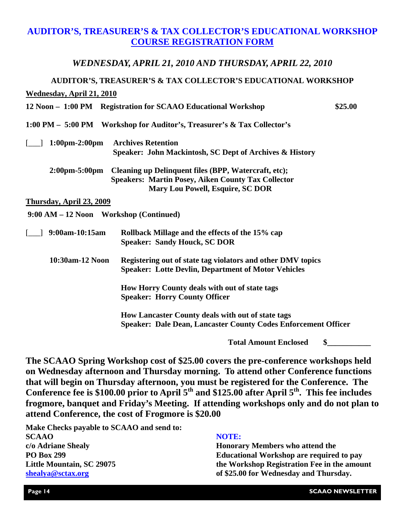#### **AUDITOR'S, TREASURER'S & TAX COLLECTOR'S EDUCATIONAL WORKSHOP COURSE REGISTRATION FORM**

#### *WEDNESDAY, APRIL 21, 2010 AND THURSDAY, APRIL 22, 2010*

#### **AUDITOR'S, TREASURER'S & TAX COLLECTOR'S EDUCATIONAL WORKSHOP**

#### **Wednesday, April 21, 2010**

|                                        | 12 Noon – 1:00 PM Registration for SCAAO Educational Workshop                                                                                                | \$25.00 |
|----------------------------------------|--------------------------------------------------------------------------------------------------------------------------------------------------------------|---------|
|                                        | 1:00 PM - 5:00 PM Workshop for Auditor's, Treasurer's & Tax Collector's                                                                                      |         |
| $1:00 \text{pm} - 2:00 \text{pm}$      | <b>Archives Retention</b><br>Speaker: John Mackintosh, SC Dept of Archives & History                                                                         |         |
| 2:00pm-5:00pm                          | Cleaning up Delinquent files (BPP, Watercraft, etc);<br><b>Speakers: Martin Posey, Aiken County Tax Collector</b><br><b>Mary Lou Powell, Esquire, SC DOR</b> |         |
| Thursday, April 23, 2009               |                                                                                                                                                              |         |
| 9:00 AM – 12 Noon Workshop (Continued) |                                                                                                                                                              |         |
| 9:00am-10:15am                         | Rollback Millage and the effects of the 15% cap<br><b>Speaker: Sandy Houck, SC DOR</b>                                                                       |         |
| 10:30am-12 Noon                        | Registering out of state tag violators and other DMV topics<br><b>Speaker: Lotte Devlin, Department of Motor Vehicles</b>                                    |         |
|                                        | How Horry County deals with out of state tags<br><b>Speaker: Horry County Officer</b>                                                                        |         |
|                                        | How Lancaster County deals with out of state tags<br><b>Speaker: Dale Dean, Lancaster County Codes Enforcement Officer</b>                                   |         |

**Total Amount Enclosed \$\_\_\_\_\_\_\_\_\_\_\_**

**The SCAAO Spring Workshop cost of \$25.00 covers the pre-conference workshops held on Wednesday afternoon and Thursday morning. To attend other Conference functions that will begin on Thursday afternoon, you must be registered for the Conference. The Conference fee is \$100.00 prior to April 5th and \$125.00 after April 5th. This fee includes frogmore, banquet and Friday's Meeting. If attending workshops only and do not plan to attend Conference, the cost of Frogmore is \$20.00**

**Make Checks payable to SCAAO and send to: SCAAO** NOTE: **c/o Adriane Shealy Honorary Members who attend the PO Box 299 Educational Workshop are required to pay**  Little Mountain, SC 29075 the Workshop Registration Fee in the amount **shealya@sctax.org of \$25.00 for Wednesday and Thursday.**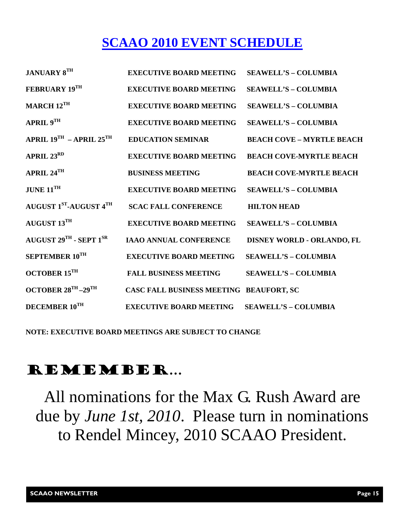# **SCAAO 2010 EVENT SCHEDULE**

| <b>JANUARY 8TH</b>                | <b>EXECUTIVE BOARD MEETING</b>          | <b>SEAWELL'S - COLUMBIA</b>      |
|-----------------------------------|-----------------------------------------|----------------------------------|
| FEBRUARY 19TH                     | <b>EXECUTIVE BOARD MEETING</b>          | <b>SEAWELL'S - COLUMBIA</b>      |
| MARCH $12^{TH}$                   | <b>EXECUTIVE BOARD MEETING</b>          | <b>SEAWELL'S - COLUMBIA</b>      |
| <b>APRIL 9TH</b>                  | <b>EXECUTIVE BOARD MEETING</b>          | <b>SEAWELL'S - COLUMBIA</b>      |
| APRIL $19^{TH}$ – APRIL $25^{TH}$ | <b>EDUCATION SEMINAR</b>                | <b>BEACH COVE - MYRTLE BEACH</b> |
| APRIL 23RD                        | <b>EXECUTIVE BOARD MEETING</b>          | <b>BEACH COVE-MYRTLE BEACH</b>   |
| APRIL 24TH                        | <b>BUSINESS MEETING</b>                 | <b>BEACH COVE-MYRTLE BEACH</b>   |
| JUNE $11$ <sup>TH</sup>           | <b>EXECUTIVE BOARD MEETING</b>          | <b>SEAWELL'S - COLUMBIA</b>      |
| AUGUST 1ST-AUGUST 4TH             | <b>SCAC FALL CONFERENCE</b>             | <b>HILTON HEAD</b>               |
| <b>AUGUST 13TH</b>                | <b>EXECUTIVE BOARD MEETING</b>          | <b>SEAWELL'S - COLUMBIA</b>      |
| AUGUST $29^{TH}$ - SEPT $1^{SR}$  | <b>IAAO ANNUAL CONFERENCE</b>           | DISNEY WORLD - ORLANDO, FL       |
| SEPTEMBER 10TH                    | <b>EXECUTIVE BOARD MEETING</b>          | <b>SEAWELL'S - COLUMBIA</b>      |
| OCTOBER 15TH                      | <b>FALL BUSINESS MEETING</b>            | <b>SEAWELL'S - COLUMBIA</b>      |
| OCTOBER $28^{TH}-29^{TH}$         | CASC FALL BUSINESS MEETING BEAUFORT, SC |                                  |
| DECEMBER 10TH                     | <b>EXECUTIVE BOARD MEETING</b>          | <b>SEAWELL'S - COLUMBIA</b>      |

**NOTE: EXECUTIVE BOARD MEETINGS ARE SUBJECT TO CHANGE** 

# REMEMBER...

All nominations for the Max G. Rush Award are due by *June 1st, 2010*. Please turn in nominations to Rendel Mincey, 2010 SCAAO President.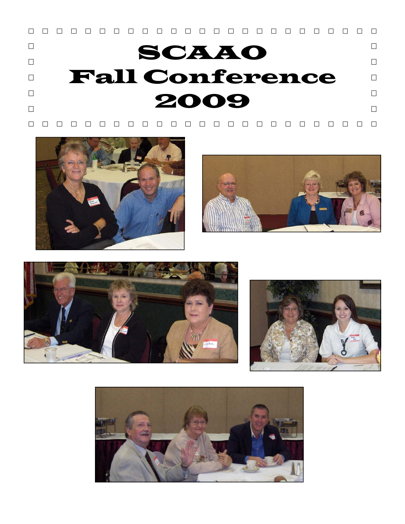









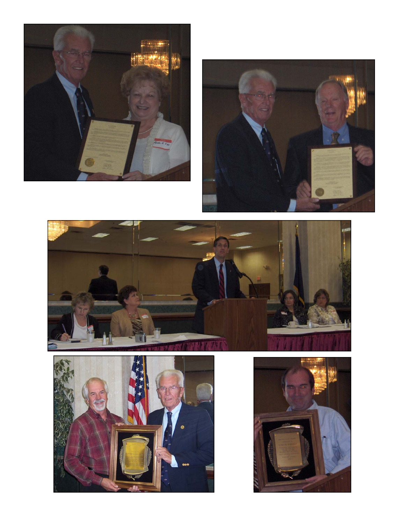







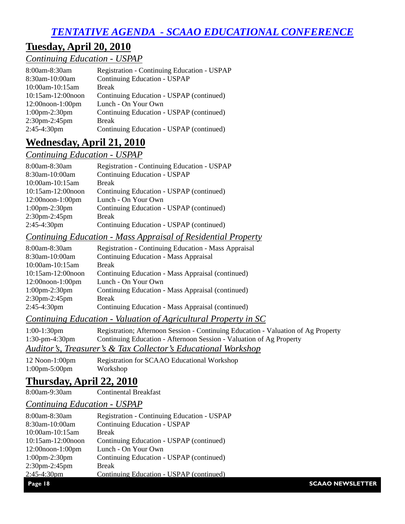## *TENTATIVE AGENDA - SCAAO EDUCATIONAL CONFERENCE*

# **Tuesday, April 20, 2010**

#### *Continuing Education - USPAP*

| 8:00am-8:30am            | <b>Registration - Continuing Education - USPAP</b> |
|--------------------------|----------------------------------------------------|
| 8:30am-10:00am           | <b>Continuing Education - USPAP</b>                |
| 10:00am-10:15am          | <b>Break</b>                                       |
| $10:15$ am- $12:00$ noon | Continuing Education - USPAP (continued)           |
| $12:00$ noon- $1:00$ pm  | Lunch - On Your Own                                |
| $1:00$ pm-2:30pm         | Continuing Education - USPAP (continued)           |
| 2:30pm-2:45pm            | <b>Break</b>                                       |
| 2:45-4:30pm              | Continuing Education - USPAP (continued)           |
|                          |                                                    |

## **Wednesday, April 21, 2010**

#### *Continuing Education - USPAP*

| 8:00am-8:30am            | <b>Registration - Continuing Education - USPAP</b> |
|--------------------------|----------------------------------------------------|
| 8:30am-10:00am           | Continuing Education - USPAP                       |
| 10:00am-10:15am          | <b>Break</b>                                       |
| $10:15$ am- $12:00$ noon | Continuing Education - USPAP (continued)           |
| $12:00$ noon- $1:00$ pm  | Lunch - On Your Own                                |
| $1:00$ pm-2:30pm         | Continuing Education - USPAP (continued)           |
| 2:30pm-2:45pm            | <b>Break</b>                                       |
| 2:45-4:30pm              | Continuing Education - USPAP (continued)           |

#### *Continuing Education - Mass Appraisal of Residential Property*

| 8:00am-8:30am            | <b>Registration - Continuing Education - Mass Appraisal</b> |
|--------------------------|-------------------------------------------------------------|
| 8:30am-10:00am           | Continuing Education - Mass Appraisal                       |
| $10:00$ am- $10:15$ am   | <b>Break</b>                                                |
| $10:15$ am- $12:00$ noon | Continuing Education - Mass Appraisal (continued)           |
| $12:00$ noon- $1:00$ pm  | Lunch - On Your Own                                         |
| $1:00$ pm-2:30pm         | Continuing Education - Mass Appraisal (continued)           |
| 2:30pm-2:45pm            | <b>Break</b>                                                |
| 2:45-4:30pm              | Continuing Education - Mass Appraisal (continued)           |

#### *Continuing Education - Valuation of Agricultural Property in SC*

1:00-1:30pm Registration; Afternoon Session - Continuing Education - Valuation of Ag Property 1:30-pm-4:30pm Continuing Education - Afternoon Session - Valuation of Ag Property *Auditor's, Treasurer's & Tax Collector's Educational Workshop*

12 Noon-1:00pm Registration for SCAAO Educational Workshop 1:00pm-5:00pm Workshop

## **Thursday, April 22, 2010**

8:00am-9:30am Continental Breakfast

#### *Continuing Education - USPAP*

| 8:00am-8:30am                     | Registration - Continuing Education - USPAP |                         |
|-----------------------------------|---------------------------------------------|-------------------------|
| 8:30am-10:00am                    | <b>Continuing Education - USPAP</b>         |                         |
| $10:00$ am-10:15am                | Break                                       |                         |
| $10:15$ am- $12:00$ noon          | Continuing Education - USPAP (continued)    |                         |
| $12:00$ noon- $1:00$ pm           | Lunch - On Your Own                         |                         |
| $1:00 \text{pm} - 2:30 \text{pm}$ | Continuing Education - USPAP (continued)    |                         |
| $2:30$ pm $-2:45$ pm              | <b>Break</b>                                |                         |
| $2:45-4:30$ pm                    | Continuing Education - USPAP (continued)    |                         |
| Page 18                           |                                             | <b>SCAAO NEWSLETTER</b> |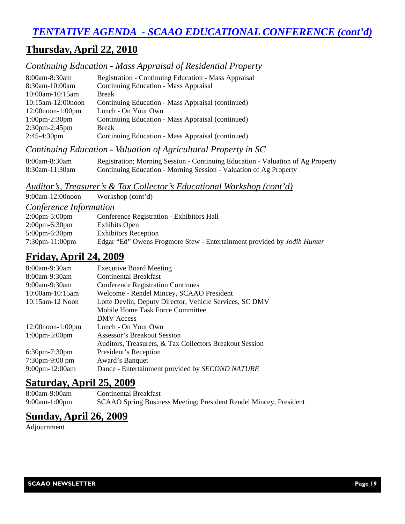## *TENTATIVE AGENDA - SCAAO EDUCATIONAL CONFERENCE (cont'd)*

#### **Thursday, April 22, 2010**

#### *Continuing Education - Mass Appraisal of Residential Property*

| 8:00am-8:30am            | <b>Registration - Continuing Education - Mass Appraisal</b> |
|--------------------------|-------------------------------------------------------------|
| 8:30am-10:00am           | <b>Continuing Education - Mass Appraisal</b>                |
| 10:00am-10:15am          | <b>Break</b>                                                |
| $10:15$ am- $12:00$ noon | Continuing Education - Mass Appraisal (continued)           |
| $12:00$ noon- $1:00$ pm  | Lunch - On Your Own                                         |
| $1:00$ pm $-2:30$ pm     | Continuing Education - Mass Appraisal (continued)           |
| $2:30$ pm- $2:45$ pm     | <b>Break</b>                                                |
| $2:45-4:30$ pm           | Continuing Education - Mass Appraisal (continued)           |

#### *Continuing Education - Valuation of Agricultural Property in SC*

| 8:00am-8:30am  | Registration; Morning Session - Continuing Education - Valuation of Ag Property |
|----------------|---------------------------------------------------------------------------------|
| 8:30am-11:30am | Continuing Education - Morning Session - Valuation of Ag Property               |

#### *Auditor's, Treasurer's & Tax Collector's Educational Workshop (cont'd)*

9:00am-12:00noon Workshop (cont'd)

#### *Conference Information*

| $2:00 \text{pm} - 5:00 \text{pm}$ | <b>Conference Registration - Exhibitors Hall</b>                               |
|-----------------------------------|--------------------------------------------------------------------------------|
| $2:00 \text{pm-}6:30 \text{pm}$   | Exhibits Open                                                                  |
| $5:00 \text{pm-}6:30 \text{pm}$   | <b>Exhibitors Reception</b>                                                    |
| $7:30$ pm- $11:00$ pm             | Edgar "Ed" Owens Frogmore Stew - Entertainment provided by <i>Jodih Hunter</i> |

# **Friday, April 24, 2009**

| 8:00am-9:30am           | <b>Executive Board Meeting</b>                          |
|-------------------------|---------------------------------------------------------|
| 8:00am-9:30am           | <b>Continental Breakfast</b>                            |
| 9:00am-9:30am           | <b>Conference Registration Continues</b>                |
| $10:00$ am- $10:15$ am  | Welcome - Rendel Mincey, SCAAO President                |
| $10:15$ am-12 Noon      | Lotte Devlin, Deputy Director, Vehicle Services, SC DMV |
|                         | Mobile Home Task Force Committee                        |
|                         | <b>DMV</b> Access                                       |
| $12:00$ noon- $1:00$ pm | Lunch - On Your Own                                     |
| $1:00$ pm $-5:00$ pm    | Assessor's Breakout Session                             |
|                         | Auditors, Treasurers, & Tax Collectors Breakout Session |
| $6:30$ pm $-7:30$ pm    | President's Reception                                   |
| 7:30pm-9:00 pm          | Award's Banquet                                         |
| 9:00pm-12:00am          | Dance - Entertainment provided by SECOND NATURE         |

#### **Saturday, April 25, 2009**

8:00am-9:00am Continental Breakfast 9:00am-1:00pm SCAAO Spring Business Meeting; President Rendel Mincey, President

#### **Sunday, April 26, 2009**

Adjournment